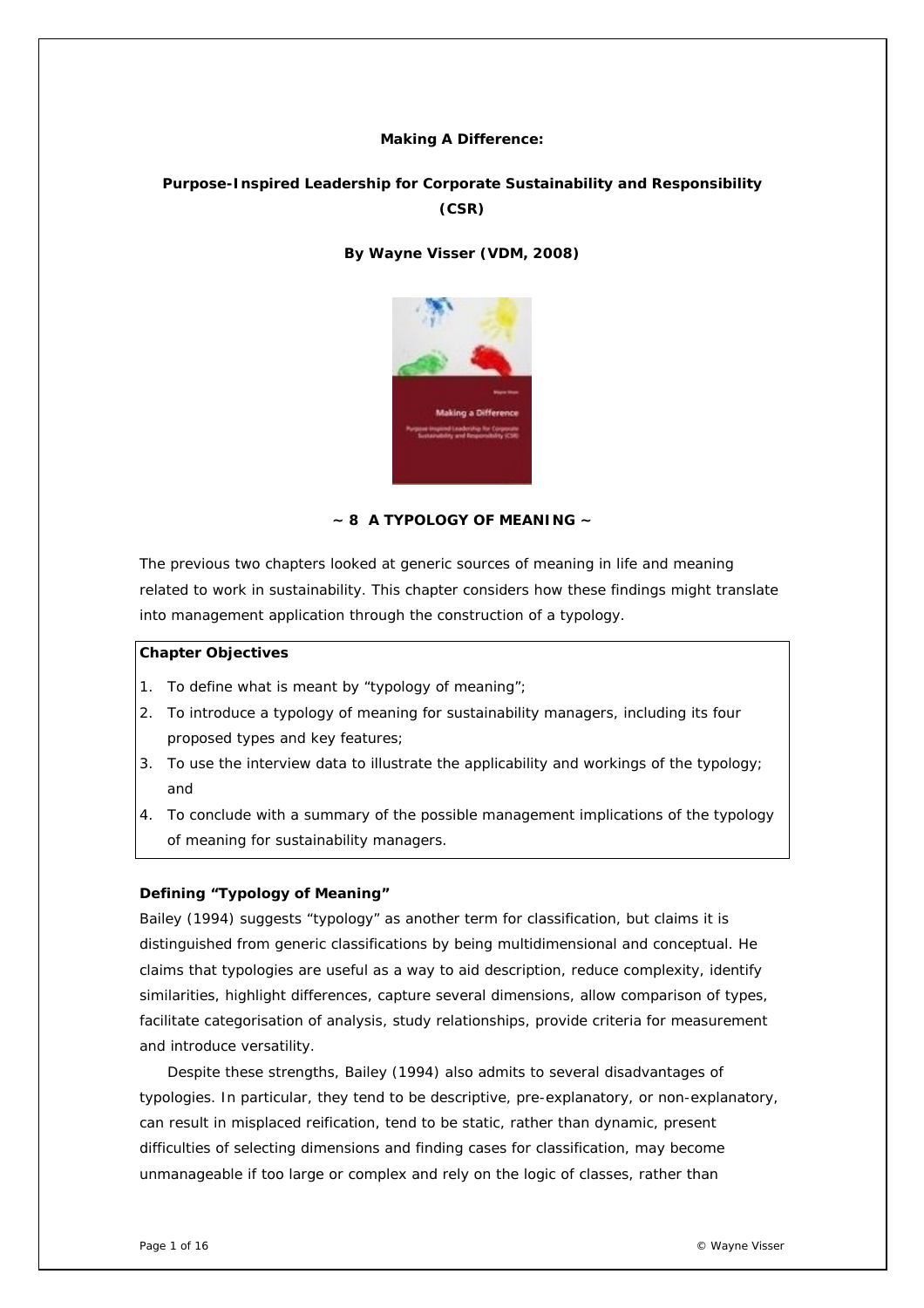#### **Making A Difference:**

# **Purpose-Inspired Leadership for Corporate Sustainability and Responsibility (CSR)**

# *By Wayne Visser (VDM, 2008)*



# **~ 8 A TYPOLOGY OF MEANING ~**

The previous two chapters looked at generic sources of meaning in life and meaning related to work in sustainability. This chapter considers how these findings might translate into management application through the construction of a typology.

## *Chapter Objectives*

- 1. To define what is meant by "typology of meaning";
- 2. To introduce a typology of meaning for sustainability managers, including its four proposed types and key features;
- 3. To use the interview data to illustrate the applicability and workings of the typology; and
- 4. To conclude with a summary of the possible management implications of the typology of meaning for sustainability managers.

# **Defining "Typology of Meaning"**

Bailey (1994) suggests "typology" as another term for classification, but claims it is distinguished from generic classifications by being multidimensional and conceptual. He claims that typologies are useful as a way to aid description, reduce complexity, identify similarities, highlight differences, capture several dimensions, allow comparison of types, facilitate categorisation of analysis, study relationships, provide criteria for measurement and introduce versatility.

Despite these strengths, Bailey (1994) also admits to several disadvantages of typologies. In particular, they tend to be descriptive, pre-explanatory, or non-explanatory, can result in misplaced reification, tend to be static, rather than dynamic, present difficulties of selecting dimensions and finding cases for classification, may become unmanageable if too large or complex and rely on the logic of classes, rather than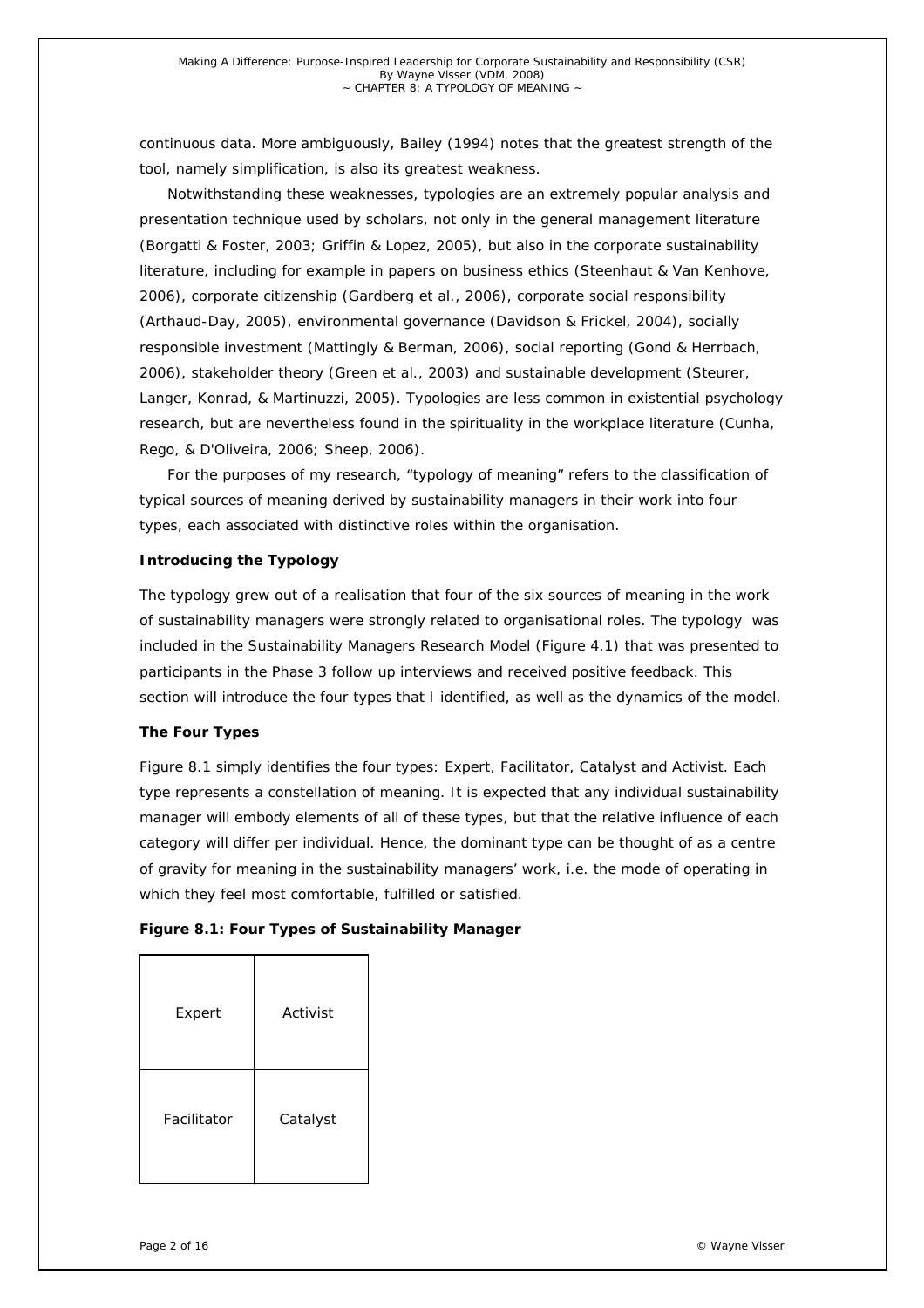continuous data. More ambiguously, Bailey (1994) notes that the greatest strength of the tool, namely simplification, is also its greatest weakness.

Notwithstanding these weaknesses, typologies are an extremely popular analysis and presentation technique used by scholars, not only in the general management literature (Borgatti & Foster, 2003; Griffin & Lopez, 2005), but also in the corporate sustainability literature, including for example in papers on business ethics (Steenhaut & Van Kenhove, 2006), corporate citizenship (Gardberg et al., 2006), corporate social responsibility (Arthaud-Day, 2005), environmental governance (Davidson & Frickel, 2004), socially responsible investment (Mattingly & Berman, 2006), social reporting (Gond & Herrbach, 2006), stakeholder theory (Green et al., 2003) and sustainable development (Steurer, Langer, Konrad, & Martinuzzi, 2005). Typologies are less common in existential psychology research, but are nevertheless found in the spirituality in the workplace literature (Cunha, Rego, & D'Oliveira, 2006; Sheep, 2006).

For the purposes of my research, "typology of meaning" refers to the classification of typical sources of meaning derived by sustainability managers in their work into four types, each associated with distinctive roles within the organisation.

#### **Introducing the Typology**

The typology grew out of a realisation that four of the six sources of meaning in the work of sustainability managers were strongly related to organisational roles. The typology was included in the Sustainability Managers Research Model (Figure 4.1) that was presented to participants in the Phase 3 follow up interviews and received positive feedback. This section will introduce the four types that I identified, as well as the dynamics of the model.

# *The Four Types*

Figure 8.1 simply identifies the four types: Expert, Facilitator, Catalyst and Activist. Each type represents a constellation of meaning. It is expected that any individual sustainability manager will embody elements of all of these types, but that the relative influence of each category will differ per individual. Hence, the dominant type can be thought of as a centre of gravity for meaning in the sustainability managers' work, i.e. the mode of operating in which they feel most comfortable, fulfilled or satisfied.

|  | Figure 8.1: Four Types of Sustainability Manager |  |
|--|--------------------------------------------------|--|
|--|--------------------------------------------------|--|

| Expert      | Activist |
|-------------|----------|
| Facilitator | Catalyst |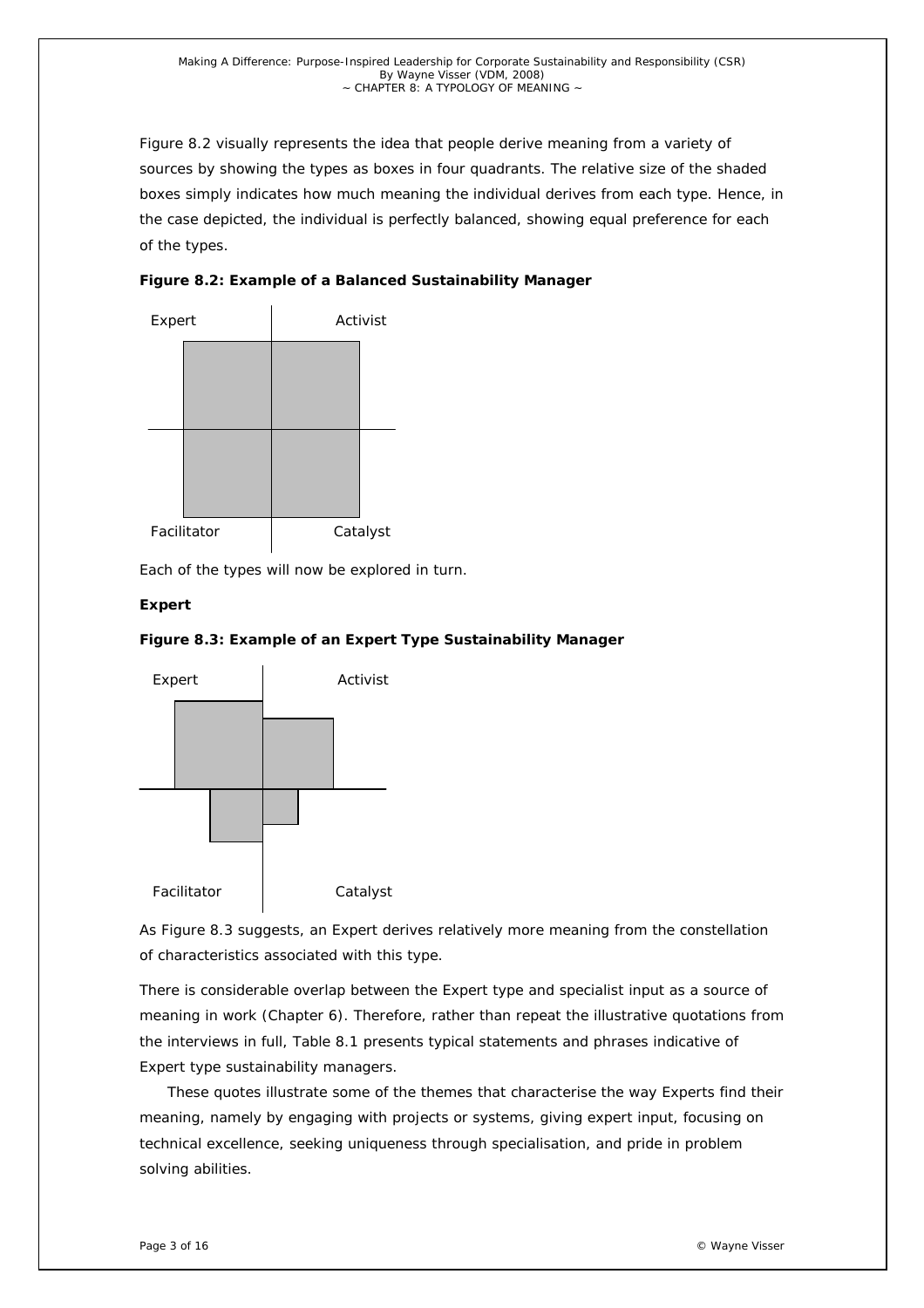Figure 8.2 visually represents the idea that people derive meaning from a variety of sources by showing the types as boxes in four quadrants. The relative size of the shaded boxes simply indicates how much meaning the individual derives from each type. Hence, in the case depicted, the individual is perfectly balanced, showing equal preference for each of the types.

*Figure 8.2: Example of a Balanced Sustainability Manager* 



Each of the types will now be explored in turn.

# *Expert*





As Figure 8.3 suggests, an Expert derives relatively more meaning from the constellation of characteristics associated with this type.

There is considerable overlap between the Expert type and specialist input as a source of meaning in work (Chapter 6). Therefore, rather than repeat the illustrative quotations from the interviews in full, Table 8.1 presents typical statements and phrases indicative of Expert type sustainability managers.

These quotes illustrate some of the themes that characterise the way Experts find their meaning, namely by engaging with projects or systems, giving expert input, focusing on technical excellence, seeking uniqueness through specialisation, and pride in problem solving abilities.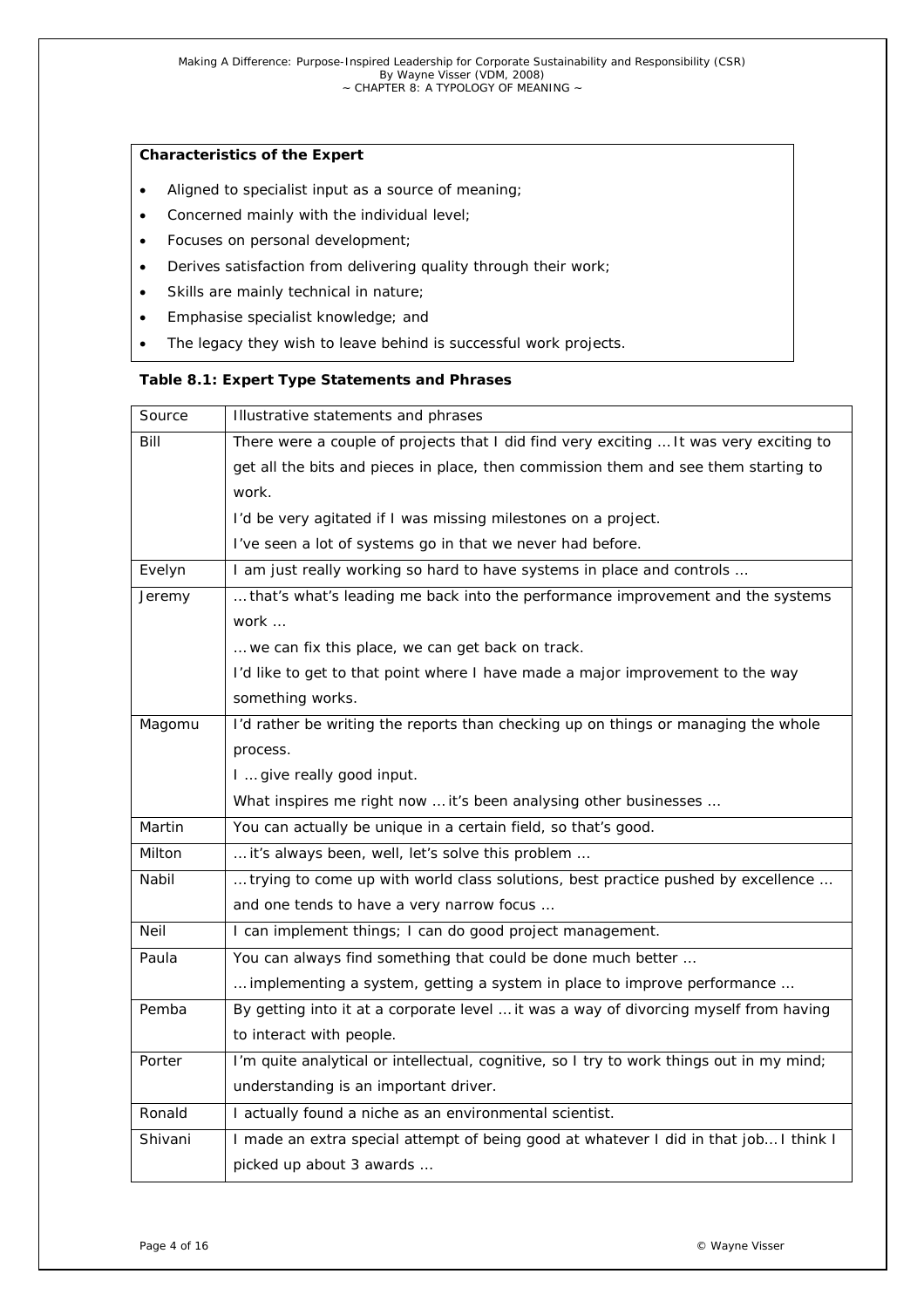#### *Characteristics of the Expert*

- Aligned to specialist input as a source of meaning;
- Concerned mainly with the individual level;
- Focuses on personal development;
- Derives satisfaction from delivering quality through their work;
- Skills are mainly technical in nature;
- Emphasise specialist knowledge; and
- The legacy they wish to leave behind is successful work projects.

#### *Table 8.1: Expert Type Statements and Phrases*

| Source  | Illustrative statements and phrases                                                      |  |  |  |
|---------|------------------------------------------------------------------------------------------|--|--|--|
| Bill    | There were a couple of projects that I did find very exciting  It was very exciting to   |  |  |  |
|         | get all the bits and pieces in place, then commission them and see them starting to      |  |  |  |
|         | work.                                                                                    |  |  |  |
|         | I'd be very agitated if I was missing milestones on a project.                           |  |  |  |
|         | I've seen a lot of systems go in that we never had before.                               |  |  |  |
| Evelyn  | I am just really working so hard to have systems in place and controls                   |  |  |  |
| Jeremy  | that's what's leading me back into the performance improvement and the systems           |  |  |  |
|         | work                                                                                     |  |  |  |
|         | we can fix this place, we can get back on track.                                         |  |  |  |
|         | I'd like to get to that point where I have made a major improvement to the way           |  |  |  |
|         | something works.                                                                         |  |  |  |
| Magomu  | I'd rather be writing the reports than checking up on things or managing the whole       |  |  |  |
|         | process.                                                                                 |  |  |  |
|         | I  give really good input.                                                               |  |  |  |
|         | What inspires me right now  it's been analysing other businesses                         |  |  |  |
| Martin  | You can actually be unique in a certain field, so that's good.                           |  |  |  |
| Milton  | it's always been, well, let's solve this problem                                         |  |  |  |
| Nabil   | trying to come up with world class solutions, best practice pushed by excellence         |  |  |  |
|         | and one tends to have a very narrow focus                                                |  |  |  |
| Neil    | I can implement things; I can do good project management.                                |  |  |  |
| Paula   | You can always find something that could be done much better                             |  |  |  |
|         | implementing a system, getting a system in place to improve performance                  |  |  |  |
| Pemba   | By getting into it at a corporate level  it was a way of divorcing myself from having    |  |  |  |
|         | to interact with people.                                                                 |  |  |  |
| Porter  | I'm quite analytical or intellectual, cognitive, so I try to work things out in my mind; |  |  |  |
|         | understanding is an important driver.                                                    |  |  |  |
| Ronald  | I actually found a niche as an environmental scientist.                                  |  |  |  |
| Shivani | I made an extra special attempt of being good at whatever I did in that job I think I    |  |  |  |
|         | picked up about 3 awards                                                                 |  |  |  |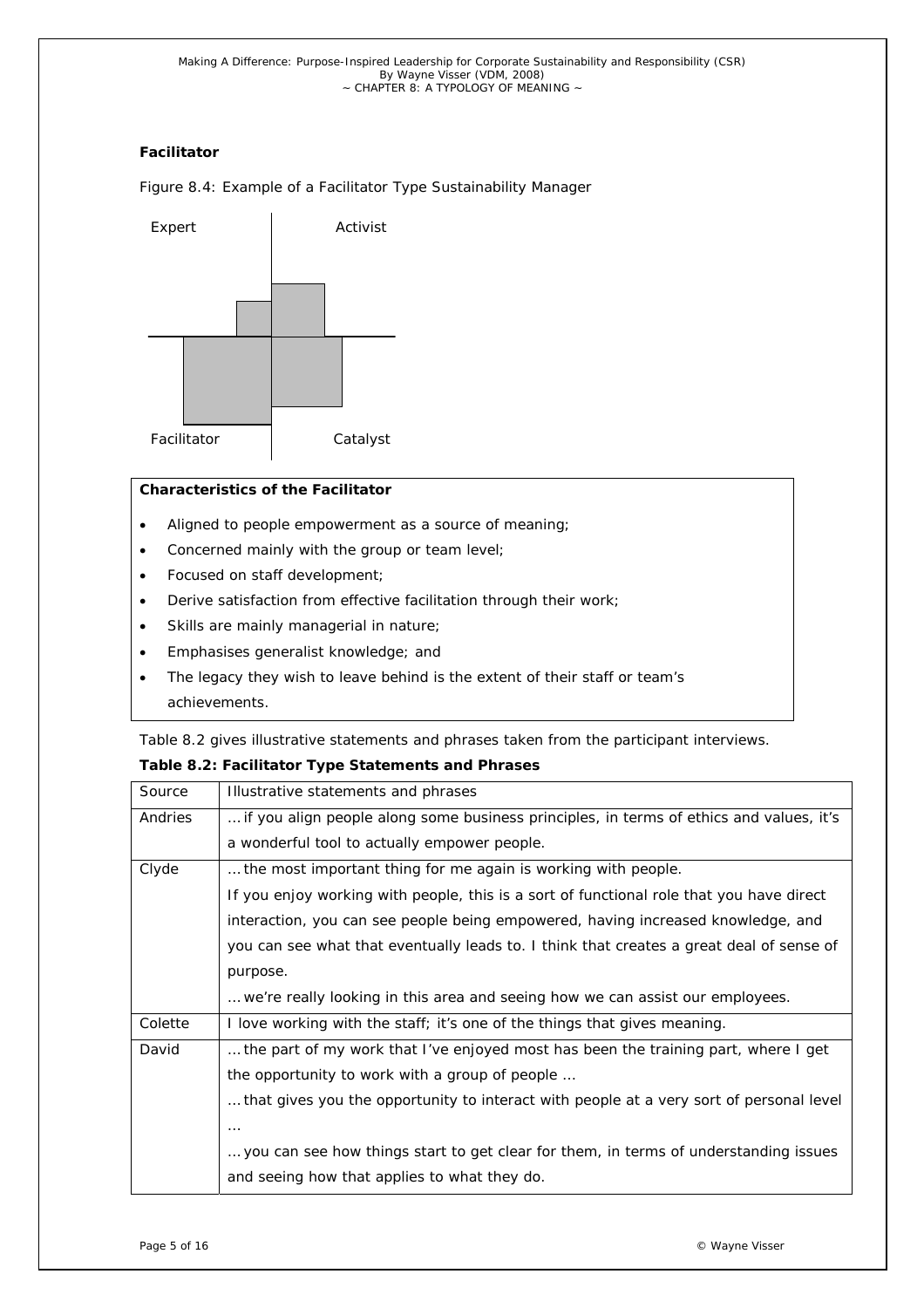# *Facilitator*

Figure 8.4: Example of a Facilitator Type Sustainability Manager



# *Characteristics of the Facilitator*

- Aligned to people empowerment as a source of meaning;
- Concerned mainly with the group or team level;
- Focused on staff development;
- Derive satisfaction from effective facilitation through their work;
- Skills are mainly managerial in nature;
- Emphasises generalist knowledge; and
- The legacy they wish to leave behind is the extent of their staff or team's achievements.

Table 8.2 gives illustrative statements and phrases taken from the participant interviews.

# *Table 8.2: Facilitator Type Statements and Phrases*

| Source  | Illustrative statements and phrases                                                      |  |  |  |
|---------|------------------------------------------------------------------------------------------|--|--|--|
| Andries | if you align people along some business principles, in terms of ethics and values, it's  |  |  |  |
|         | a wonderful tool to actually empower people.                                             |  |  |  |
| Clyde   | the most important thing for me again is working with people.                            |  |  |  |
|         | If you enjoy working with people, this is a sort of functional role that you have direct |  |  |  |
|         | interaction, you can see people being empowered, having increased knowledge, and         |  |  |  |
|         | you can see what that eventually leads to. I think that creates a great deal of sense of |  |  |  |
|         | purpose.                                                                                 |  |  |  |
|         | we're really looking in this area and seeing how we can assist our employees.            |  |  |  |
| Colette | I love working with the staff; it's one of the things that gives meaning.                |  |  |  |
| David   | the part of my work that I've enjoyed most has been the training part, where I get       |  |  |  |
|         | the opportunity to work with a group of people                                           |  |  |  |
|         | that gives you the opportunity to interact with people at a very sort of personal level  |  |  |  |
|         | $\cdots$                                                                                 |  |  |  |
|         | you can see how things start to get clear for them, in terms of understanding issues     |  |  |  |
|         | and seeing how that applies to what they do.                                             |  |  |  |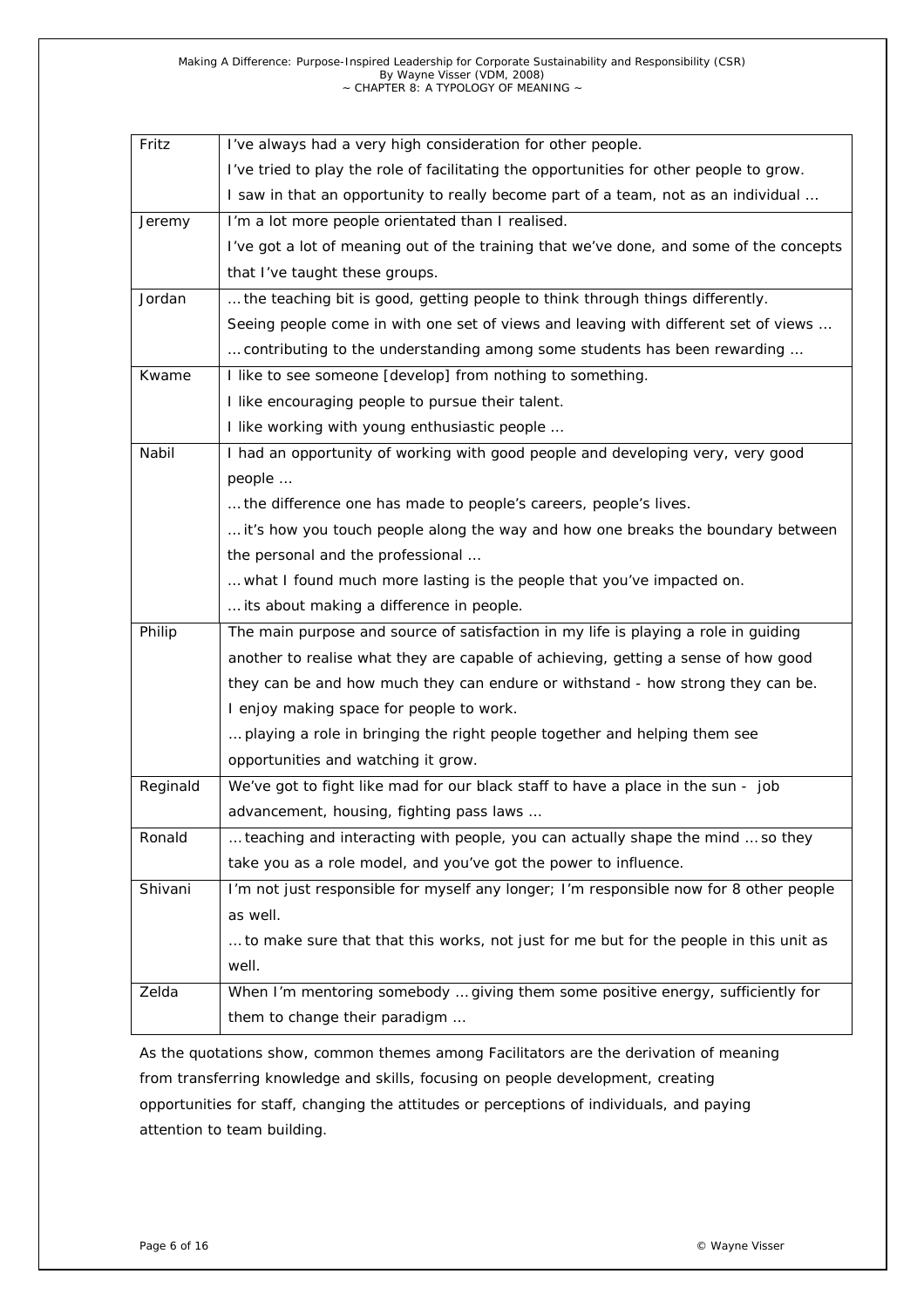| Fritz    | I've always had a very high consideration for other people.                             |  |  |  |
|----------|-----------------------------------------------------------------------------------------|--|--|--|
|          | I've tried to play the role of facilitating the opportunities for other people to grow. |  |  |  |
|          | I saw in that an opportunity to really become part of a team, not as an individual      |  |  |  |
| Jeremy   | I'm a lot more people orientated than I realised.                                       |  |  |  |
|          | I've got a lot of meaning out of the training that we've done, and some of the concepts |  |  |  |
|          | that I've taught these groups.                                                          |  |  |  |
| Jordan   | the teaching bit is good, getting people to think through things differently.           |  |  |  |
|          | Seeing people come in with one set of views and leaving with different set of views     |  |  |  |
|          | contributing to the understanding among some students has been rewarding                |  |  |  |
| Kwame    | I like to see someone [develop] from nothing to something.                              |  |  |  |
|          | I like encouraging people to pursue their talent.                                       |  |  |  |
|          | I like working with young enthusiastic people                                           |  |  |  |
| Nabil    | I had an opportunity of working with good people and developing very, very good         |  |  |  |
| people   |                                                                                         |  |  |  |
|          | the difference one has made to people's careers, people's lives.                        |  |  |  |
|          | it's how you touch people along the way and how one breaks the boundary between         |  |  |  |
|          | the personal and the professional                                                       |  |  |  |
|          | what I found much more lasting is the people that you've impacted on.                   |  |  |  |
|          | its about making a difference in people.                                                |  |  |  |
| Philip   | The main purpose and source of satisfaction in my life is playing a role in guiding     |  |  |  |
|          | another to realise what they are capable of achieving, getting a sense of how good      |  |  |  |
|          | they can be and how much they can endure or withstand - how strong they can be.         |  |  |  |
|          | I enjoy making space for people to work.                                                |  |  |  |
|          | playing a role in bringing the right people together and helping them see               |  |  |  |
|          | opportunities and watching it grow.                                                     |  |  |  |
| Reginald | We've got to fight like mad for our black staff to have a place in the sun - job        |  |  |  |
|          | advancement, housing, fighting pass laws                                                |  |  |  |
| Ronald   | teaching and interacting with people, you can actually shape the mind  so they          |  |  |  |
|          | take you as a role model, and you've got the power to influence.                        |  |  |  |
| Shivani  | I'm not just responsible for myself any longer; I'm responsible now for 8 other people  |  |  |  |
|          | as well.                                                                                |  |  |  |
|          | to make sure that that this works, not just for me but for the people in this unit as   |  |  |  |
|          | well.                                                                                   |  |  |  |
| Zelda    | When I'm mentoring somebody  giving them some positive energy, sufficiently for         |  |  |  |
|          | them to change their paradigm                                                           |  |  |  |

As the quotations show, common themes among Facilitators are the derivation of meaning from transferring knowledge and skills, focusing on people development, creating opportunities for staff, changing the attitudes or perceptions of individuals, and paying attention to team building.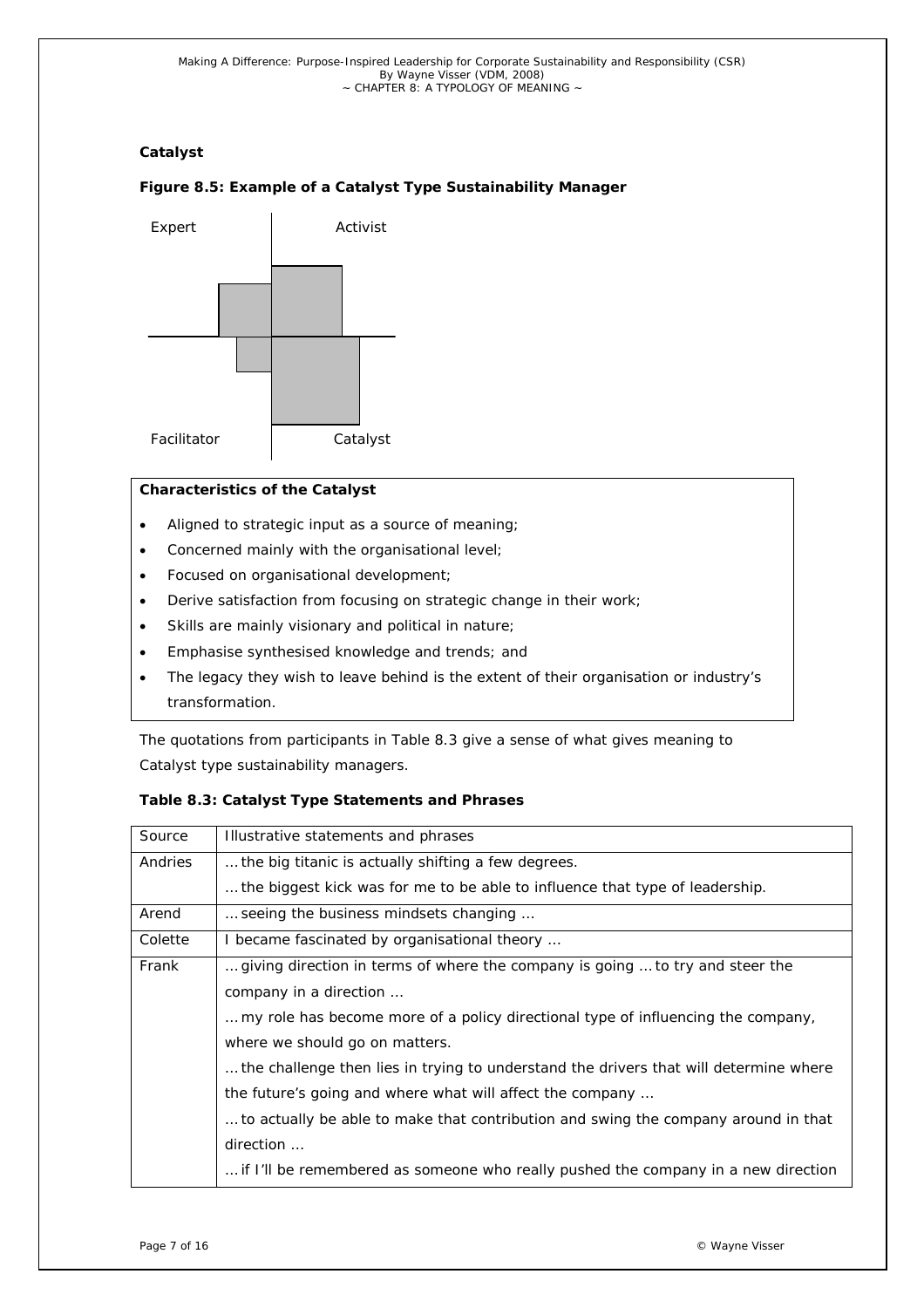# *Catalyst*

# Activist Facilitator | Catalyst Expert

# *Figure 8.5: Example of a Catalyst Type Sustainability Manager*

# *Characteristics of the Catalyst*

- Aligned to strategic input as a source of meaning;
- Concerned mainly with the organisational level;
- Focused on organisational development;
- Derive satisfaction from focusing on strategic change in their work;
- Skills are mainly visionary and political in nature;
- Emphasise synthesised knowledge and trends; and
- The legacy they wish to leave behind is the extent of their organisation or industry's transformation.

The quotations from participants in Table 8.3 give a sense of what gives meaning to Catalyst type sustainability managers.

# *Table 8.3: Catalyst Type Statements and Phrases*

| Source  | Illustrative statements and phrases                                                   |  |  |  |
|---------|---------------------------------------------------------------------------------------|--|--|--|
| Andries | the big titanic is actually shifting a few degrees.                                   |  |  |  |
|         | the biggest kick was for me to be able to influence that type of leadership.          |  |  |  |
| Arend   | seeing the business mindsets changing                                                 |  |  |  |
| Colette | I became fascinated by organisational theory                                          |  |  |  |
| Frank   | giving direction in terms of where the company is going  to try and steer the         |  |  |  |
|         | company in a direction                                                                |  |  |  |
|         | my role has become more of a policy directional type of influencing the company,      |  |  |  |
|         | where we should go on matters.                                                        |  |  |  |
|         | the challenge then lies in trying to understand the drivers that will determine where |  |  |  |
|         | the future's going and where what will affect the company                             |  |  |  |
|         | to actually be able to make that contribution and swing the company around in that    |  |  |  |
|         | direction                                                                             |  |  |  |
|         | if I'll be remembered as someone who really pushed the company in a new direction     |  |  |  |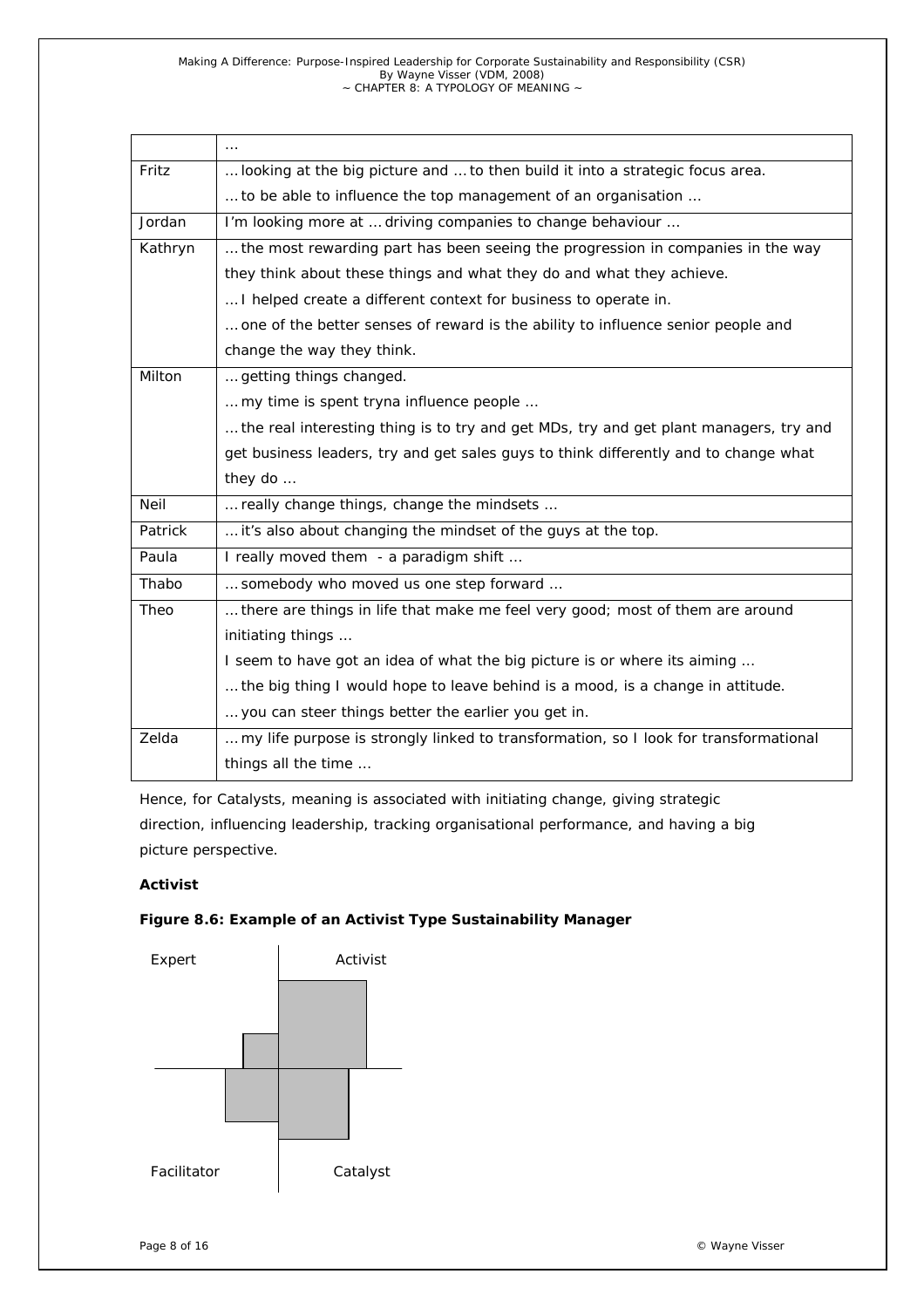*Making A Difference: Purpose-Inspired Leadership for Corporate Sustainability and Responsibility (CSR) By Wayne Visser (VDM, 2008) ~ CHAPTER 8: A TYPOLOGY OF MEANING ~* 

|         | $\cdots$                                                                              |  |  |  |
|---------|---------------------------------------------------------------------------------------|--|--|--|
| Fritz   | looking at the big picture and  to then build it into a strategic focus area.         |  |  |  |
|         | to be able to influence the top management of an organisation                         |  |  |  |
| Jordan  | I'm looking more at  driving companies to change behaviour                            |  |  |  |
| Kathryn | the most rewarding part has been seeing the progression in companies in the way       |  |  |  |
|         | they think about these things and what they do and what they achieve.                 |  |  |  |
|         | I helped create a different context for business to operate in.                       |  |  |  |
|         | one of the better senses of reward is the ability to influence senior people and      |  |  |  |
|         | change the way they think.                                                            |  |  |  |
| Milton  | getting things changed.                                                               |  |  |  |
|         | my time is spent tryna influence people                                               |  |  |  |
|         | the real interesting thing is to try and get MDs, try and get plant managers, try and |  |  |  |
|         | get business leaders, try and get sales guys to think differently and to change what  |  |  |  |
|         | they do                                                                               |  |  |  |
| Neil    | really change things, change the mindsets                                             |  |  |  |
| Patrick | it's also about changing the mindset of the guys at the top.                          |  |  |  |
| Paula   | I really moved them - a paradigm shift                                                |  |  |  |
| Thabo   | somebody who moved us one step forward                                                |  |  |  |
| Theo    | there are things in life that make me feel very good; most of them are around         |  |  |  |
|         | initiating things                                                                     |  |  |  |
|         | I seem to have got an idea of what the big picture is or where its aiming             |  |  |  |
|         | the big thing I would hope to leave behind is a mood, is a change in attitude.        |  |  |  |
|         | you can steer things better the earlier you get in.                                   |  |  |  |
| Zelda   | my life purpose is strongly linked to transformation, so I look for transformational  |  |  |  |
|         | things all the time                                                                   |  |  |  |

Hence, for Catalysts, meaning is associated with initiating change, giving strategic direction, influencing leadership, tracking organisational performance, and having a big picture perspective.

# *Activist*

## *Figure 8.6: Example of an Activist Type Sustainability Manager*

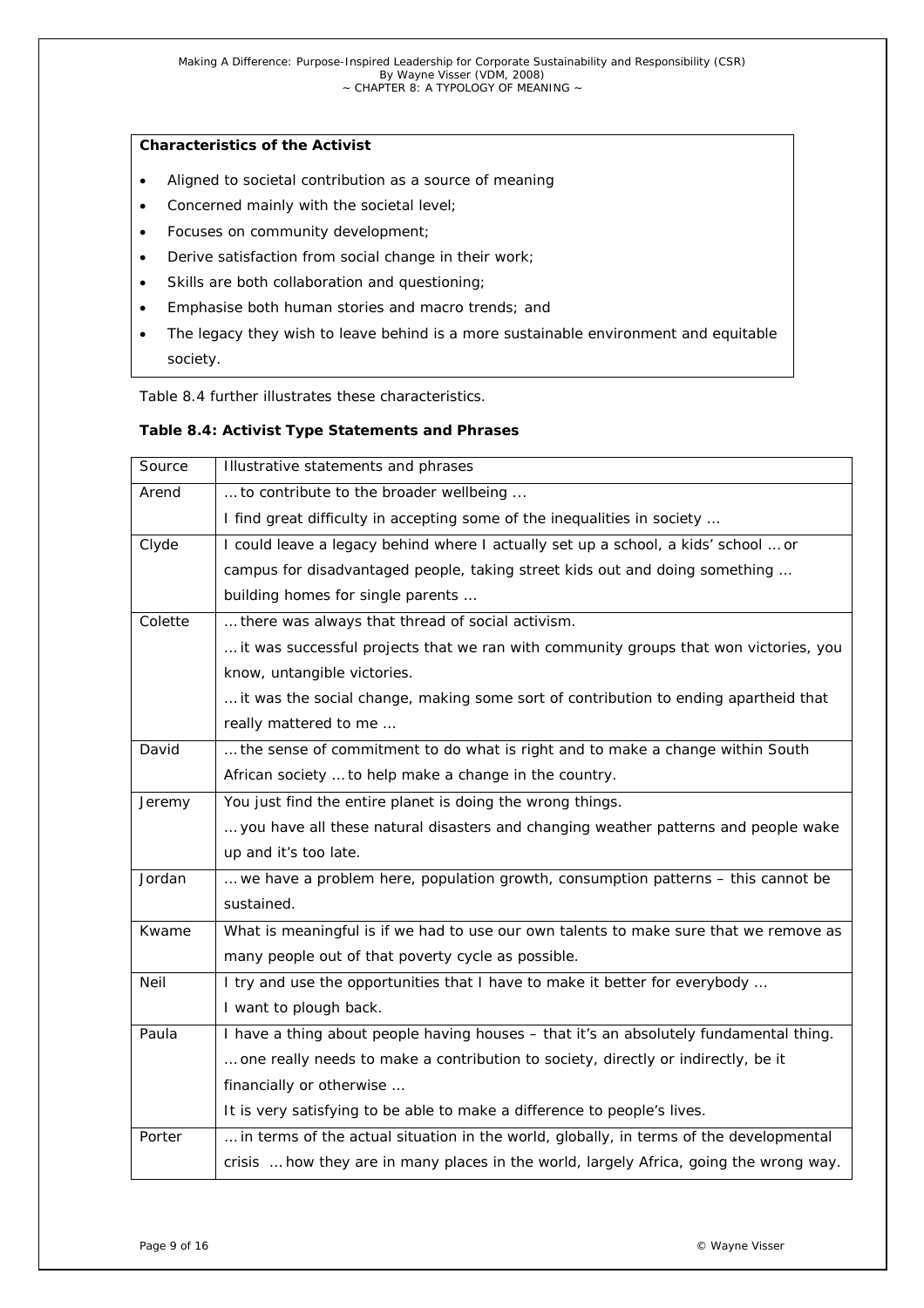# *Characteristics of the Activist*

- Aligned to societal contribution as a source of meaning
- Concerned mainly with the societal level;
- Focuses on community development;
- Derive satisfaction from social change in their work;
- Skills are both collaboration and questioning;
- Emphasise both human stories and macro trends; and
- The legacy they wish to leave behind is a more sustainable environment and equitable society.

Table 8.4 further illustrates these characteristics.

#### *Table 8.4: Activist Type Statements and Phrases*

| Source  | Illustrative statements and phrases                                                    |  |  |  |
|---------|----------------------------------------------------------------------------------------|--|--|--|
| Arend   | to contribute to the broader wellbeing                                                 |  |  |  |
|         | I find great difficulty in accepting some of the inequalities in society               |  |  |  |
| Clyde   | I could leave a legacy behind where I actually set up a school, a kids' school  or     |  |  |  |
|         | campus for disadvantaged people, taking street kids out and doing something            |  |  |  |
|         | building homes for single parents                                                      |  |  |  |
| Colette | there was always that thread of social activism.                                       |  |  |  |
|         | it was successful projects that we ran with community groups that won victories, you   |  |  |  |
|         | know, untangible victories.                                                            |  |  |  |
|         | it was the social change, making some sort of contribution to ending apartheid that    |  |  |  |
|         | really mattered to me                                                                  |  |  |  |
| David   | the sense of commitment to do what is right and to make a change within South          |  |  |  |
|         | African society  to help make a change in the country.                                 |  |  |  |
| Jeremy  | You just find the entire planet is doing the wrong things.                             |  |  |  |
|         | you have all these natural disasters and changing weather patterns and people wake     |  |  |  |
|         | up and it's too late.                                                                  |  |  |  |
| Jordan  | we have a problem here, population growth, consumption patterns - this cannot be       |  |  |  |
|         | sustained.                                                                             |  |  |  |
| Kwame   | What is meaningful is if we had to use our own talents to make sure that we remove as  |  |  |  |
|         | many people out of that poverty cycle as possible.                                     |  |  |  |
| Neil    | I try and use the opportunities that I have to make it better for everybody            |  |  |  |
|         | I want to plough back.                                                                 |  |  |  |
| Paula   | I have a thing about people having houses - that it's an absolutely fundamental thing. |  |  |  |
|         | one really needs to make a contribution to society, directly or indirectly, be it      |  |  |  |
|         | financially or otherwise                                                               |  |  |  |
|         | It is very satisfying to be able to make a difference to people's lives.               |  |  |  |
| Porter  | in terms of the actual situation in the world, globally, in terms of the developmental |  |  |  |
|         | crisis  how they are in many places in the world, largely Africa, going the wrong way. |  |  |  |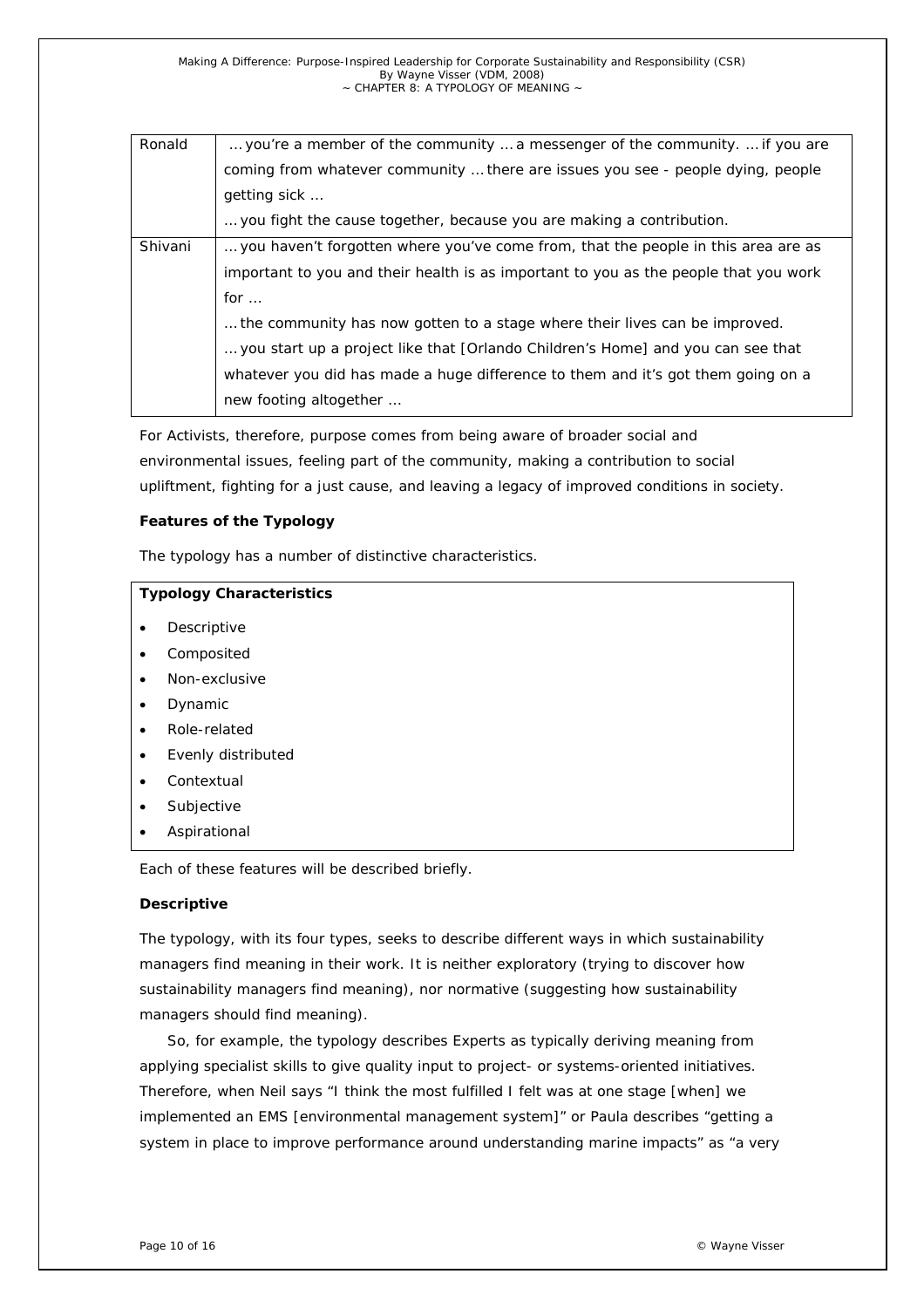| Ronald  | you're a member of the community  a messenger of the community.  if you are          |  |  |
|---------|--------------------------------------------------------------------------------------|--|--|
|         | coming from whatever community  there are issues you see - people dying, people      |  |  |
|         | getting sick                                                                         |  |  |
|         | you fight the cause together, because you are making a contribution.                 |  |  |
| Shivani | you haven't forgotten where you've come from, that the people in this area are as    |  |  |
|         | important to you and their health is as important to you as the people that you work |  |  |
|         | for $\ldots$                                                                         |  |  |
|         | the community has now gotten to a stage where their lives can be improved.           |  |  |
|         | you start up a project like that [Orlando Children's Home] and you can see that      |  |  |
|         | whatever you did has made a huge difference to them and it's got them going on a     |  |  |
|         | new footing altogether                                                               |  |  |
|         |                                                                                      |  |  |

For Activists, therefore, purpose comes from being aware of broader social and environmental issues, feeling part of the community, making a contribution to social upliftment, fighting for a just cause, and leaving a legacy of improved conditions in society.

#### **Features of the Typology**

The typology has a number of distinctive characteristics.

|           | <b>Typology Characteristics</b>                   |  |  |  |
|-----------|---------------------------------------------------|--|--|--|
| $\bullet$ | Descriptive                                       |  |  |  |
| ٠         | Composited                                        |  |  |  |
| $\bullet$ | Non-exclusive                                     |  |  |  |
| ٠         | Dynamic                                           |  |  |  |
| ٠         | Role-related                                      |  |  |  |
| ٠         | Evenly distributed                                |  |  |  |
| ٠         | Contextual                                        |  |  |  |
| ٠         | Subjective                                        |  |  |  |
| ٠         | Aspirational                                      |  |  |  |
|           | Each of these features will be described briefly. |  |  |  |

#### *Descriptive*

The typology, with its four types, seeks to describe different ways in which sustainability managers find meaning in their work. It is neither exploratory (trying to discover how sustainability managers find meaning), nor normative (suggesting how sustainability managers should find meaning).

So, for example, the typology describes Experts as typically deriving meaning from applying specialist skills to give quality input to project- or systems-oriented initiatives. Therefore, when Neil says "I think the most fulfilled I felt was at one stage [when] we implemented an EMS [environmental management system]" or Paula describes "getting a system in place to improve performance around understanding marine impacts" as "a very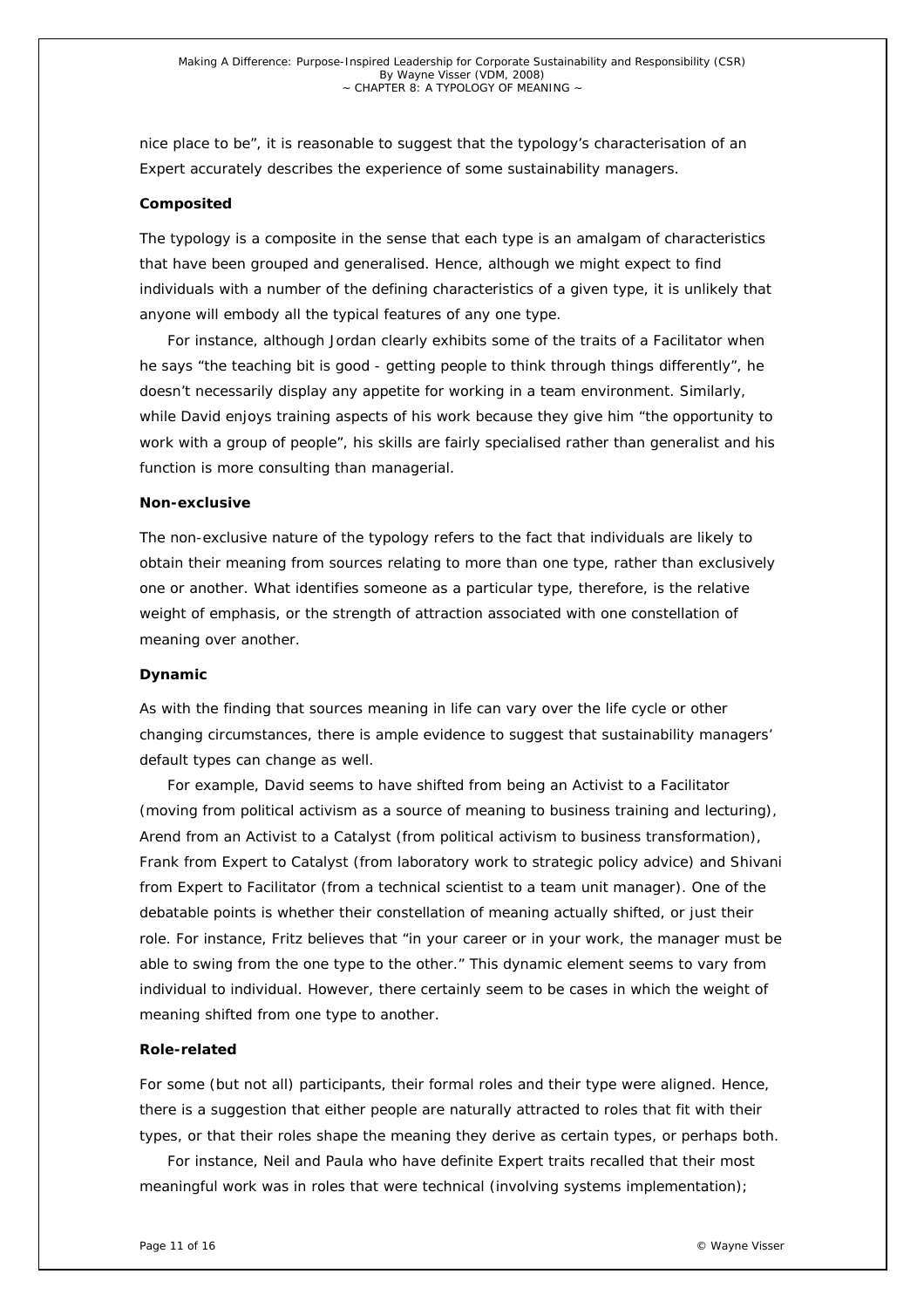nice place to be", it is reasonable to suggest that the typology's characterisation of an Expert accurately describes the experience of some sustainability managers.

#### *Composited*

The typology is a composite in the sense that each type is an amalgam of characteristics that have been grouped and generalised. Hence, although we might expect to find individuals with a number of the defining characteristics of a given type, it is unlikely that anyone will embody all the typical features of any one type.

For instance, although Jordan clearly exhibits some of the traits of a Facilitator when he says "the teaching bit is good - getting people to think through things differently", he doesn't necessarily display any appetite for working in a team environment. Similarly, while David enjoys training aspects of his work because they give him "the opportunity to work with a group of people", his skills are fairly specialised rather than generalist and his function is more consulting than managerial.

#### *Non-exclusive*

The non-exclusive nature of the typology refers to the fact that individuals are likely to obtain their meaning from sources relating to more than one type, rather than exclusively one or another. What identifies someone as a particular type, therefore, is the relative weight of emphasis, or the strength of attraction associated with one constellation of meaning over another.

#### *Dynamic*

As with the finding that sources meaning in life can vary over the life cycle or other changing circumstances, there is ample evidence to suggest that sustainability managers' default types can change as well.

For example, David seems to have shifted from being an Activist to a Facilitator (moving from political activism as a source of meaning to business training and lecturing), Arend from an Activist to a Catalyst (from political activism to business transformation), Frank from Expert to Catalyst (from laboratory work to strategic policy advice) and Shivani from Expert to Facilitator (from a technical scientist to a team unit manager). One of the debatable points is whether their constellation of meaning actually shifted, or just their role. For instance, Fritz believes that "in your career or in your work, the manager must be able to swing from the one type to the other." This dynamic element seems to vary from individual to individual. However, there certainly seem to be cases in which the weight of meaning shifted from one type to another.

#### *Role-related*

For some (but not all) participants, their formal roles and their type were aligned. Hence, there is a suggestion that either people are naturally attracted to roles that fit with their types, or that their roles shape the meaning they derive as certain types, or perhaps both.

For instance, Neil and Paula who have definite Expert traits recalled that their most meaningful work was in roles that were technical (involving systems implementation);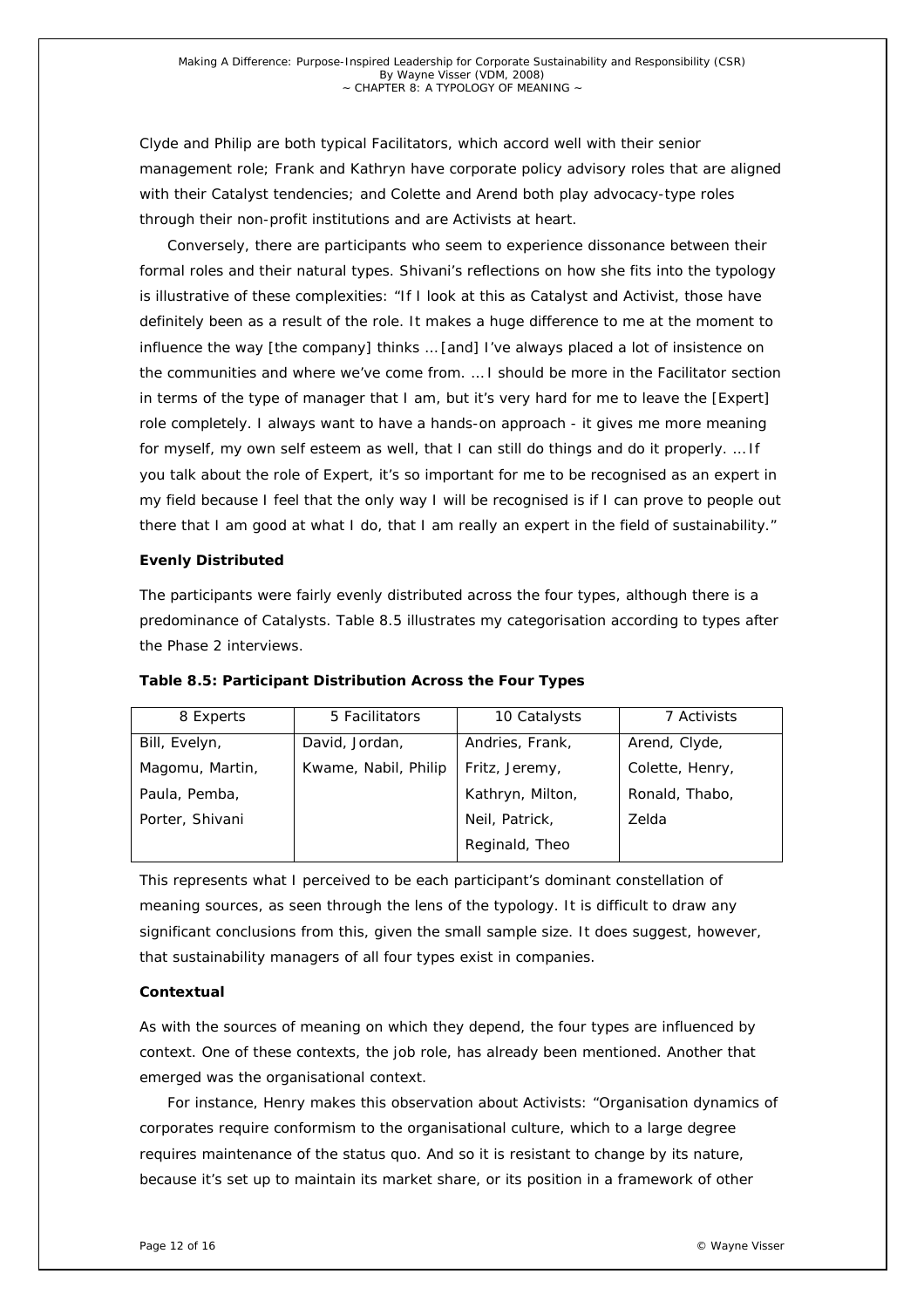Clyde and Philip are both typical Facilitators, which accord well with their senior management role; Frank and Kathryn have corporate policy advisory roles that are aligned with their Catalyst tendencies; and Colette and Arend both play advocacy-type roles through their non-profit institutions and are Activists at heart.

Conversely, there are participants who seem to experience dissonance between their formal roles and their natural types. Shivani's reflections on how she fits into the typology is illustrative of these complexities: "If I look at this as Catalyst and Activist, those have definitely been as a result of the role. It makes a huge difference to me at the moment to influence the way [the company] thinks … [and] I've always placed a lot of insistence on the communities and where we've come from. … I should be more in the Facilitator section in terms of the type of manager that I am, but it's very hard for me to leave the [Expert] role completely. I always want to have a hands-on approach - it gives me more meaning for myself, my own self esteem as well, that I can still do things and do it properly. … If you talk about the role of Expert, it's so important for me to be recognised as an expert in my field because I feel that the only way I will be recognised is if I can prove to people out there that I am good at what I do, that I am really an expert in the field of sustainability."

#### *Evenly Distributed*

The participants were fairly evenly distributed across the four types, although there is a predominance of Catalysts. Table 8.5 illustrates my categorisation according to types after the Phase 2 interviews.

| 8 Experts       | 5 Facilitators       | 10 Catalysts     | 7 Activists     |
|-----------------|----------------------|------------------|-----------------|
| Bill, Evelyn,   | David, Jordan,       | Andries, Frank,  | Arend, Clyde,   |
| Magomu, Martin, | Kwame, Nabil, Philip | Fritz, Jeremy,   | Colette, Henry, |
| Paula, Pemba,   |                      | Kathryn, Milton, | Ronald, Thabo,  |
| Porter, Shivani |                      | Neil, Patrick,   | Zelda           |
|                 |                      | Reginald, Theo   |                 |

*Table 8.5: Participant Distribution Across the Four Types* 

This represents what I perceived to be each participant's dominant constellation of meaning sources, as seen through the lens of the typology. It is difficult to draw any significant conclusions from this, given the small sample size. It does suggest, however, that sustainability managers of all four types exist in companies.

# *Contextual*

As with the sources of meaning on which they depend, the four types are influenced by context. One of these contexts, the job role, has already been mentioned. Another that emerged was the organisational context.

For instance, Henry makes this observation about Activists: "Organisation dynamics of corporates require conformism to the organisational culture, which to a large degree requires maintenance of the status quo. And so it is resistant to change by its nature, because it's set up to maintain its market share, or its position in a framework of other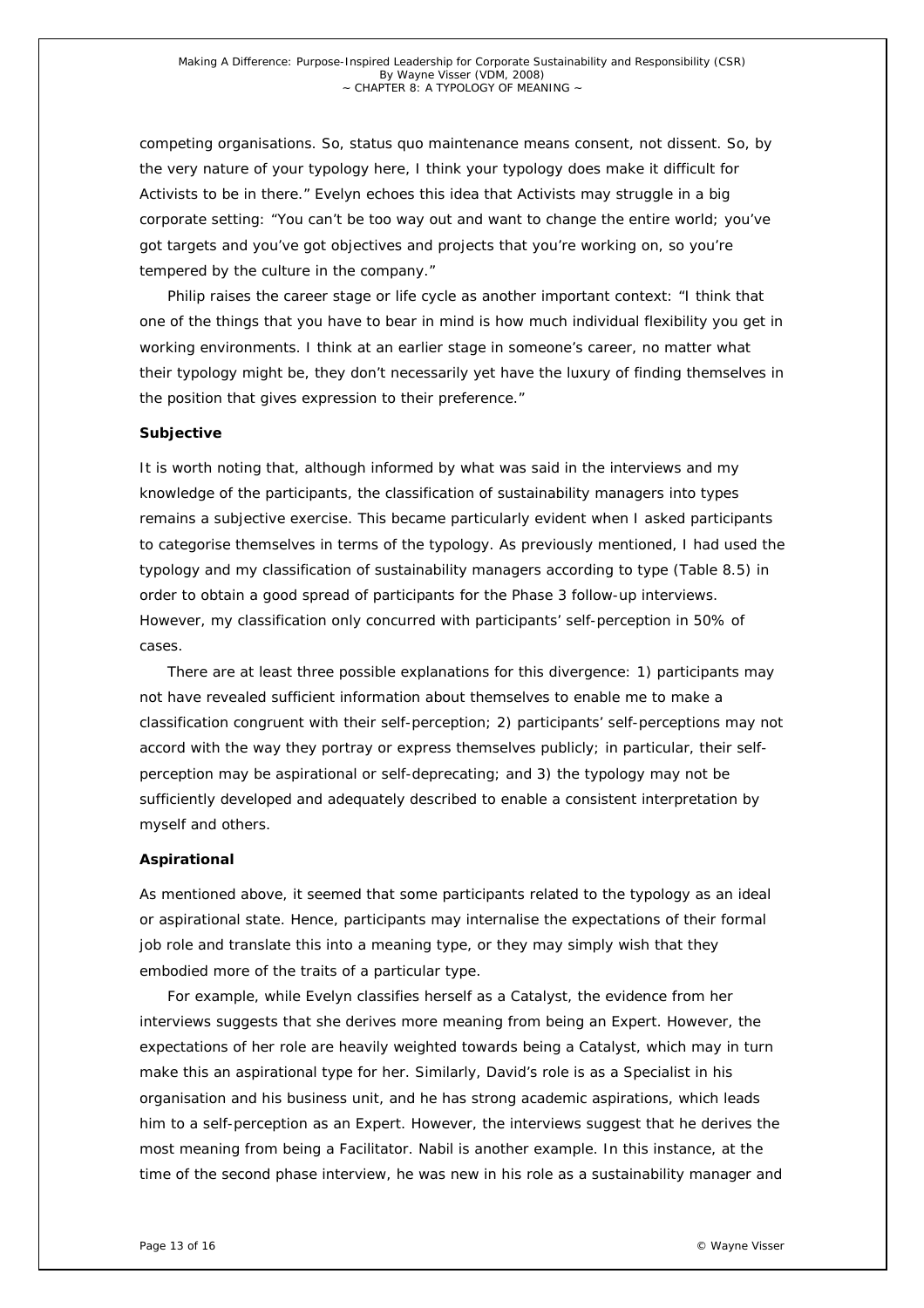competing organisations. So, status quo maintenance means consent, not dissent. So, by the very nature of your typology here, I think your typology does make it difficult for Activists to be in there." Evelyn echoes this idea that Activists may struggle in a big corporate setting: "You can't be too way out and want to change the entire world; you've got targets and you've got objectives and projects that you're working on, so you're tempered by the culture in the company."

Philip raises the career stage or life cycle as another important context: "I think that one of the things that you have to bear in mind is how much individual flexibility you get in working environments. I think at an earlier stage in someone's career, no matter what their typology might be, they don't necessarily yet have the luxury of finding themselves in the position that gives expression to their preference."

#### *Subjective*

It is worth noting that, although informed by what was said in the interviews and my knowledge of the participants, the classification of sustainability managers into types remains a subjective exercise. This became particularly evident when I asked participants to categorise themselves in terms of the typology. As previously mentioned, I had used the typology and my classification of sustainability managers according to type (Table 8.5) in order to obtain a good spread of participants for the Phase 3 follow-up interviews. However, my classification only concurred with participants' self-perception in 50% of cases.

There are at least three possible explanations for this divergence: 1) participants may not have revealed sufficient information about themselves to enable me to make a classification congruent with their self-perception; 2) participants' self-perceptions may not accord with the way they portray or express themselves publicly; in particular, their selfperception may be aspirational or self-deprecating; and 3) the typology may not be sufficiently developed and adequately described to enable a consistent interpretation by myself and others.

#### *Aspirational*

As mentioned above, it seemed that some participants related to the typology as an ideal or aspirational state. Hence, participants may internalise the expectations of their formal job role and translate this into a meaning type, or they may simply wish that they embodied more of the traits of a particular type.

For example, while Evelyn classifies herself as a Catalyst, the evidence from her interviews suggests that she derives more meaning from being an Expert. However, the expectations of her role are heavily weighted towards being a Catalyst, which may in turn make this an aspirational type for her. Similarly, David's role is as a Specialist in his organisation and his business unit, and he has strong academic aspirations, which leads him to a self-perception as an Expert. However, the interviews suggest that he derives the most meaning from being a Facilitator. Nabil is another example. In this instance, at the time of the second phase interview, he was new in his role as a sustainability manager and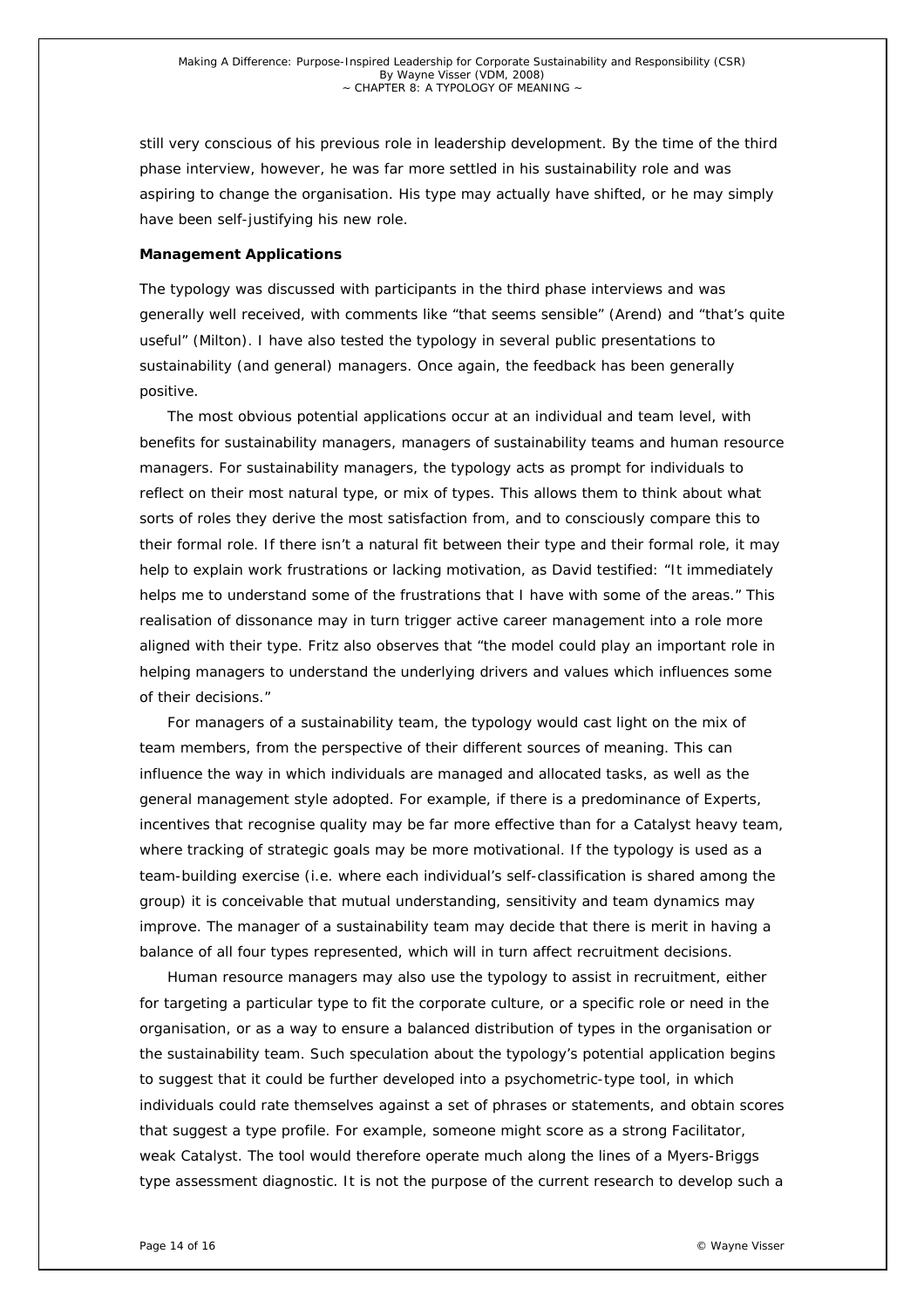still very conscious of his previous role in leadership development. By the time of the third phase interview, however, he was far more settled in his sustainability role and was aspiring to change the organisation. His type may actually have shifted, or he may simply have been self-justifying his new role.

#### *Management Applications*

The typology was discussed with participants in the third phase interviews and was generally well received, with comments like "that seems sensible" (Arend) and "that's quite useful" (Milton). I have also tested the typology in several public presentations to sustainability (and general) managers. Once again, the feedback has been generally positive.

The most obvious potential applications occur at an individual and team level, with benefits for sustainability managers, managers of sustainability teams and human resource managers. For sustainability managers, the typology acts as prompt for individuals to reflect on their most natural type, or mix of types. This allows them to think about what sorts of roles they derive the most satisfaction from, and to consciously compare this to their formal role. If there isn't a natural fit between their type and their formal role, it may help to explain work frustrations or lacking motivation, as David testified: "It immediately helps me to understand some of the frustrations that I have with some of the areas." This realisation of dissonance may in turn trigger active career management into a role more aligned with their type. Fritz also observes that "the model could play an important role in helping managers to understand the underlying drivers and values which influences some of their decisions."

For managers of a sustainability team, the typology would cast light on the mix of team members, from the perspective of their different sources of meaning. This can influence the way in which individuals are managed and allocated tasks, as well as the general management style adopted. For example, if there is a predominance of Experts, incentives that recognise quality may be far more effective than for a Catalyst heavy team, where tracking of strategic goals may be more motivational. If the typology is used as a team-building exercise (i.e. where each individual's self-classification is shared among the group) it is conceivable that mutual understanding, sensitivity and team dynamics may improve. The manager of a sustainability team may decide that there is merit in having a balance of all four types represented, which will in turn affect recruitment decisions.

Human resource managers may also use the typology to assist in recruitment, either for targeting a particular type to fit the corporate culture, or a specific role or need in the organisation, or as a way to ensure a balanced distribution of types in the organisation or the sustainability team. Such speculation about the typology's potential application begins to suggest that it could be further developed into a psychometric-type tool, in which individuals could rate themselves against a set of phrases or statements, and obtain scores that suggest a type profile. For example, someone might score as a strong Facilitator, weak Catalyst. The tool would therefore operate much along the lines of a Myers-Briggs type assessment diagnostic. It is not the purpose of the current research to develop such a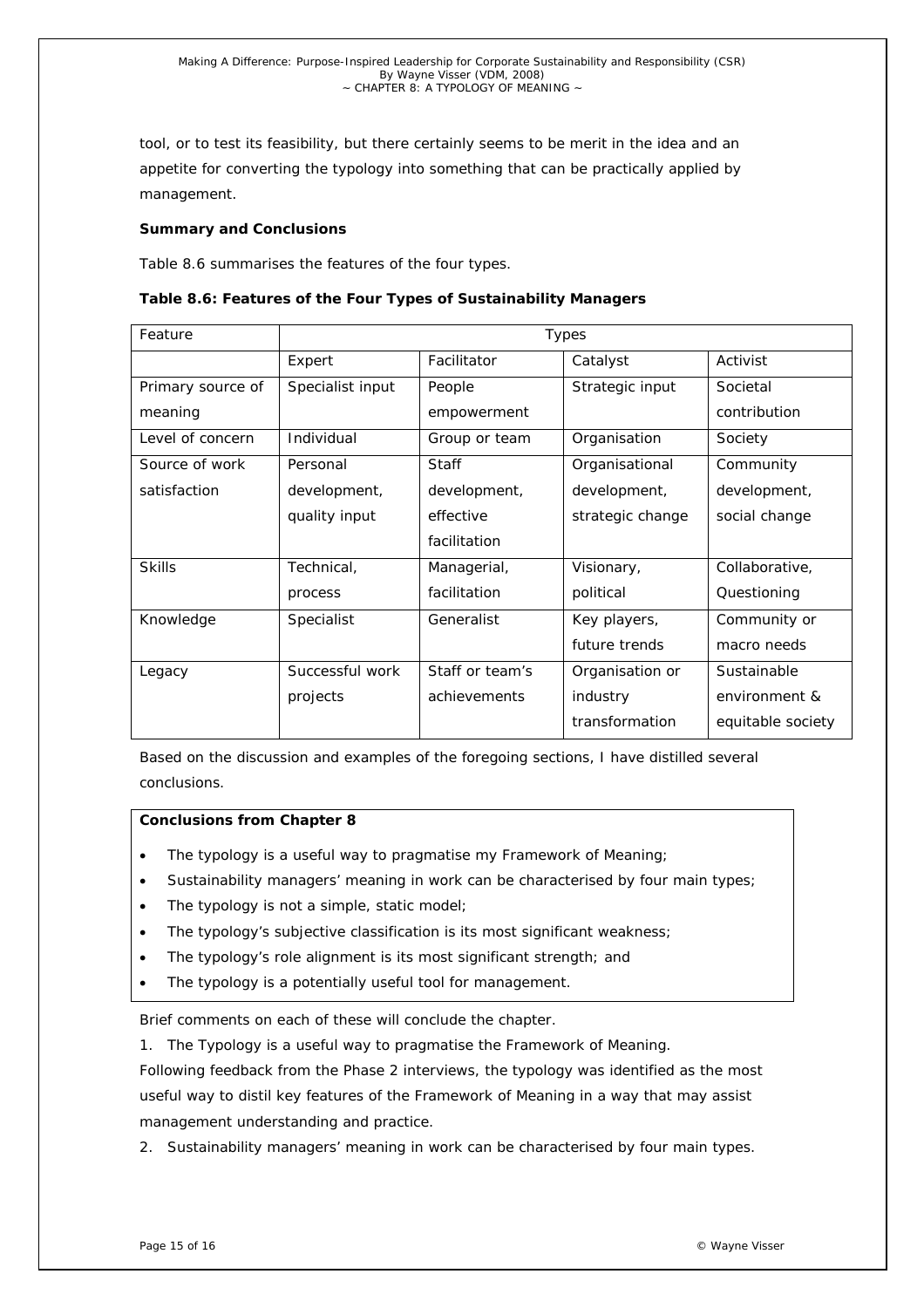tool, or to test its feasibility, but there certainly seems to be merit in the idea and an appetite for converting the typology into something that can be practically applied by management.

## **Summary and Conclusions**

Table 8.6 summarises the features of the four types.

| Feature           | Types            |                 |                  |                   |
|-------------------|------------------|-----------------|------------------|-------------------|
|                   | Expert           | Facilitator     | Catalyst         | Activist          |
| Primary source of | Specialist input | People          | Strategic input  | Societal          |
| meaning           |                  | empowerment     |                  | contribution      |
| Level of concern  | Individual       | Group or team   | Organisation     | Society           |
| Source of work    | Personal         | <b>Staff</b>    | Organisational   | Community         |
| satisfaction      | development,     | development,    | development,     | development,      |
|                   | quality input    | effective       | strategic change | social change     |
|                   |                  | facilitation    |                  |                   |
| <b>Skills</b>     | Technical,       | Managerial,     | Visionary,       | Collaborative,    |
|                   | process          | facilitation    | political        | Questioning       |
| Knowledge         | Specialist       | Generalist      | Key players,     | Community or      |
|                   |                  |                 | future trends    | macro needs       |
| Legacy            | Successful work  | Staff or team's | Organisation or  | Sustainable       |
|                   | projects         | achievements    | industry         | environment &     |
|                   |                  |                 | transformation   | equitable society |

Based on the discussion and examples of the foregoing sections, I have distilled several conclusions.

# *Conclusions from Chapter 8*

- The typology is a useful way to pragmatise my Framework of Meaning;
- Sustainability managers' meaning in work can be characterised by four main types;
- The typology is not a simple, static model;
- The typology's subjective classification is its most significant weakness;
- The typology's role alignment is its most significant strength; and
- The typology is a potentially useful tool for management.

Brief comments on each of these will conclude the chapter.

*1. The Typology is a useful way to pragmatise the Framework of Meaning.* 

Following feedback from the Phase 2 interviews, the typology was identified as the most useful way to distil key features of the Framework of Meaning in a way that may assist management understanding and practice.

*2. Sustainability managers' meaning in work can be characterised by four main types.*